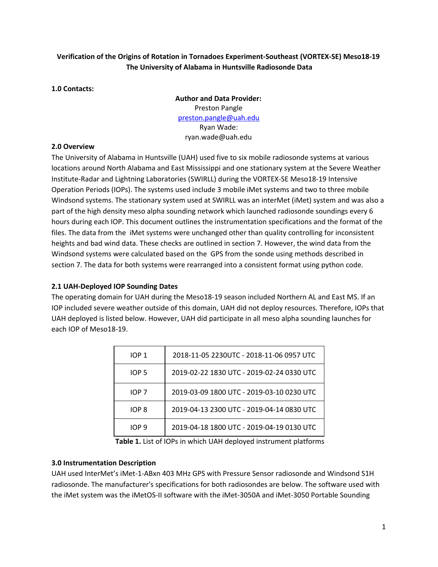# **Verification of the Origins of Rotation in Tornadoes Experiment-Southeast (VORTEX-SE) Meso18-19 The University of Alabama in Huntsville Radiosonde Data**

### **1.0 Contacts:**

**Author and Data Provider:** Preston Pangle [preston.pangle@uah.edu](mailto:ptp0001@uah.edu) Ryan Wade: ryan.wade@uah.edu

#### **2.0 Overview**

The University of Alabama in Huntsville (UAH) used five to six mobile radiosonde systems at various locations around North Alabama and East Mississippi and one stationary system at the Severe Weather Institute-Radar and Lightning Laboratories (SWIRLL) during the VORTEX-SE Meso18-19 Intensive Operation Periods (IOPs). The systems used include 3 mobile iMet systems and two to three mobile Windsond systems. The stationary system used at SWIRLL was an interMet (iMet) system and was also a part of the high density meso alpha sounding network which launched radiosonde soundings every 6 hours during each IOP. This document outlines the instrumentation specifications and the format of the files. The data from the iMet systems were unchanged other than quality controlling for inconsistent heights and bad wind data. These checks are outlined in section 7. However, the wind data from the Windsond systems were calculated based on the GPS from the sonde using methods described in section 7. The data for both systems were rearranged into a consistent format using python code.

#### **2.1 UAH-Deployed IOP Sounding Dates**

The operating domain for UAH during the Meso18-19 season included Northern AL and East MS. If an IOP included severe weather outside of this domain, UAH did not deploy resources. Therefore, IOPs that UAH deployed is listed below. However, UAH did participate in all meso alpha sounding launches for each IOP of Meso18-19.

| IOP 1 | 2018-11-05 2230UTC - 2018-11-06 0957 UTC  |
|-------|-------------------------------------------|
| IOP 5 | 2019-02-22 1830 UTC - 2019-02-24 0330 UTC |
| IOP 7 | 2019-03-09 1800 UTC - 2019-03-10 0230 UTC |
| IOP 8 | 2019-04-13 2300 UTC - 2019-04-14 0830 UTC |
| IOP 9 | 2019-04-18 1800 UTC - 2019-04-19 0130 UTC |

**Table 1.** List of IOPs in which UAH deployed instrument platforms

#### **3.0 Instrumentation Description**

UAH used InterMet's iMet-1-ABxn 403 MHz GPS with Pressure Sensor radiosonde and Windsond S1H radiosonde. The manufacturer's specifications for both radiosondes are below. The software used with the iMet system was the iMetOS-II software with the iMet-3050A and iMet-3050 Portable Sounding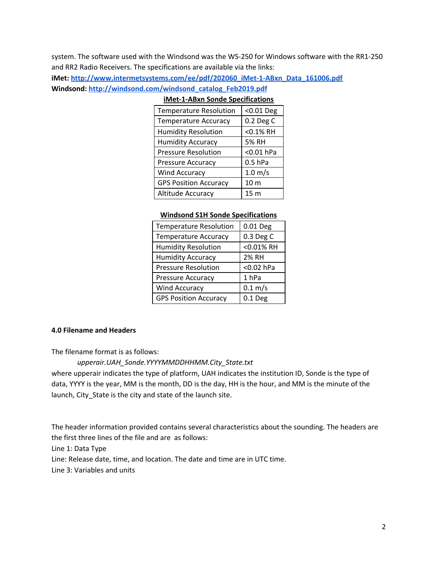system. The software used with the Windsond was the WS-250 for Windows software with the RR1-250 and RR2 Radio Receivers. The specifications are available via the links:

**iMet: [http://www.intermetsystems.com/ee/pdf/202060\\_iMet-1-ABxn\\_Data\\_161006.pdf](http://www.intermetsystems.com/ee/pdf/202060_iMet-1-ABxn_Data_161006.pdf) Windsond: [http://windsond.com/windsond\\_catalog\\_Feb2019.pdf](http://windsond.com/windsond_catalog_Feb2019.pdf)**

| <b>Temperature Resolution</b> | <0.01 Deg         |
|-------------------------------|-------------------|
| <b>Temperature Accuracy</b>   | 0.2 Deg C         |
| <b>Humidity Resolution</b>    | <0.1% RH          |
| <b>Humidity Accuracy</b>      | 5% RH             |
| <b>Pressure Resolution</b>    | $<0.01$ hPa       |
| <b>Pressure Accuracy</b>      | $0.5$ hPa         |
| <b>Wind Accuracy</b>          | $1.0 \text{ m/s}$ |
| <b>GPS Position Accuracy</b>  | 10 <sub>m</sub>   |
| Altitude Accuracy             | 15 <sub>m</sub>   |
|                               |                   |

### **iMet-1-ABxn Sonde Specifications**

#### **Windsond S1H Sonde Specifications**

| <b>Temperature Resolution</b> | 0.01 Deg            |
|-------------------------------|---------------------|
| <b>Temperature Accuracy</b>   | 0.3 Deg C           |
| <b>Humidity Resolution</b>    | <0.01% RH           |
| <b>Humidity Accuracy</b>      | <b>2% RH</b>        |
| <b>Pressure Resolution</b>    | <0.02 hPa           |
| Pressure Accuracy             | 1 <sub>hPa</sub>    |
| <b>Wind Accuracy</b>          | $0.1 \, \text{m/s}$ |
| <b>GPS Position Accuracy</b>  | $0.1$ Deg           |

#### **4.0 Filename and Headers**

The filename format is as follows:

#### *upperair.UAH\_Sonde.YYYYMMDDHHMM.City\_State.txt*

where upperair indicates the type of platform, UAH indicates the institution ID, Sonde is the type of data, YYYY is the year, MM is the month, DD is the day, HH is the hour, and MM is the minute of the launch, City\_State is the city and state of the launch site.

The header information provided contains several characteristics about the sounding. The headers are the first three lines of the file and are as follows:

Line 1: Data Type

Line: Release date, time, and location. The date and time are in UTC time.

Line 3: Variables and units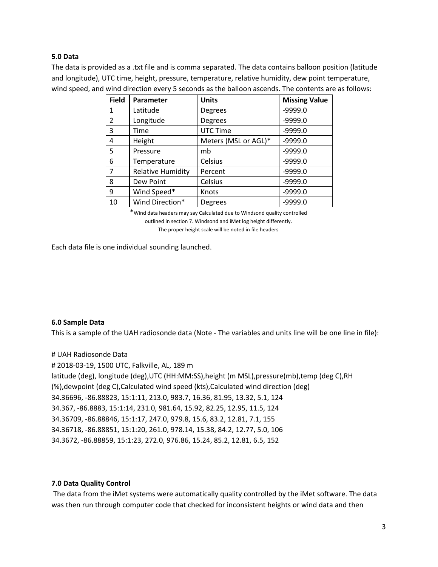### **5.0 Data**

The data is provided as a .txt file and is comma separated. The data contains balloon position (latitude and longitude), UTC time, height, pressure, temperature, relative humidity, dew point temperature, wind speed, and wind direction every 5 seconds as the balloon ascends. The contents are as follows:

| <b>Field</b>   | Parameter                | <b>Units</b>         | <b>Missing Value</b> |
|----------------|--------------------------|----------------------|----------------------|
| 1              | Latitude                 | Degrees              | $-9999.0$            |
| $\overline{2}$ | Longitude                | Degrees              | $-9999.0$            |
| 3              | Time                     | UTC Time             | $-9999.0$            |
| 4              | Height                   | Meters (MSL or AGL)* | $-9999.0$            |
| 5              | Pressure                 | mb                   | $-9999.0$            |
| 6              | Temperature              | Celsius              | $-9999.0$            |
| 7              | <b>Relative Humidity</b> | Percent              | $-9999.0$            |
| 8              | Dew Point                | Celsius              | $-9999.0$            |
| 9              | Wind Speed*              | Knots                | $-9999.0$            |
| 10             | Wind Direction*          | Degrees              | $-9999.0$            |

\*Wind data headers may say Calculated due to Windsond quality controlled outlined in section 7. Windsond and iMet log height differently.

The proper height scale will be noted in file headers

Each data file is one individual sounding launched.

#### **6.0 Sample Data**

This is a sample of the UAH radiosonde data (Note - The variables and units line will be one line in file):

# UAH Radiosonde Data # 2018-03-19, 1500 UTC, Falkville, AL, 189 m latitude (deg), longitude (deg),UTC (HH:MM:SS),height (m MSL),pressure(mb),temp (deg C),RH (%),dewpoint (deg C),Calculated wind speed (kts),Calculated wind direction (deg) 34.36696, -86.88823, 15:1:11, 213.0, 983.7, 16.36, 81.95, 13.32, 5.1, 124 34.367, -86.8883, 15:1:14, 231.0, 981.64, 15.92, 82.25, 12.95, 11.5, 124 34.36709, -86.88846, 15:1:17, 247.0, 979.8, 15.6, 83.2, 12.81, 7.1, 155 34.36718, -86.88851, 15:1:20, 261.0, 978.14, 15.38, 84.2, 12.77, 5.0, 106 34.3672, -86.88859, 15:1:23, 272.0, 976.86, 15.24, 85.2, 12.81, 6.5, 152

#### **7.0 Data Quality Control**

The data from the iMet systems were automatically quality controlled by the iMet software. The data was then run through computer code that checked for inconsistent heights or wind data and then